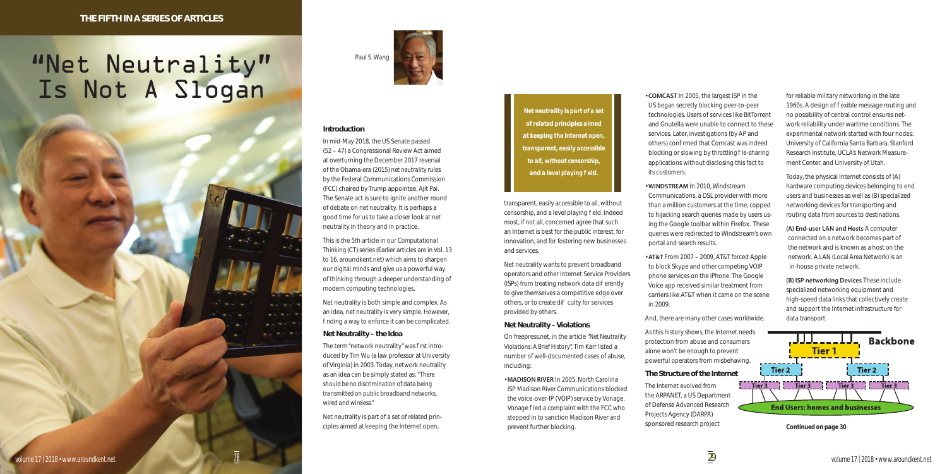

## **Introduction**

In mid-May 2018, the US Senate passed (52 – 47) a Congressional Review Act aimed at overturning the December 2017 reversal of the Obama-era (2015) *net neutrality* rules by the Federal Communications Commission (FCC) chaired by Trump appointee, Ajit Pai. The Senate act is sure to ignite another round of debate on net neutrality. It is perhaps a good time for us to take a closer look at net neutrality in theory and in practice.

Net neutrality is both simple and complex. As an idea, net neutrality is very simple. However, nding a way to enforce it can be complicated.

The term "network neutrality" was rst introduced by Tim Wu (a law professor at University of Virginia) in 2003. Today, network neutrality as an idea can be simply stated as: *"There should be no discrimination of data being transmitted on public broadband networks, wired and wireless."*

This is the 5th article in our *Computational Thinking (CT)* series (Earlier articles are in Vol. 13 to 16, aroundkent.net) which aims to sharpen our digital minds and give us a powerful way of thinking through a deeper understanding of modern computing technologies.

# "Net Neutrality" Is Not A Slogan

# **Net Neutrality – the Idea**

Net neutrality is part of a set of related principles aimed at keeping the Internet open,

*Paul S. Wang* 



transparent, easily accessible to all, without censorship, and a level playing eld. Indeed most, if not all, concerned agree that such an Internet is best for the public interest, for innovation, and for fostering new businesses and services.

Net neutrality wants to prevent broadband operators and other Internet Service Providers (ISPs) from treating network data dieferently to give themselves a competitive edge over others, or to create di culty for services provided by others.

# **Net Neutrality – Violations**

On freepress.net, in the article *"Net Neutrality Violations: A Brief History",* Tim Karr listed a number of well-documented cases of abuse, including:

• **MADISON RIVER** In 2005, North Carolina ISP Madison River Communications blocked the voice-over-IP (VOIP) service by Vonage. Vonage led a complaint with the FCC who stepped in to sanction Madison River and prevent further blocking.

*Net neutrality is part of a set of related principles aimed at keeping the Internet open, transparent, easily accessible to all, without censorship, and a level playing eld.* 

• **COMCAST** In 2005, the largest ISP in the US began secretly blocking peer-to-peer technologies. Users of services like BitTorrent and Gnutella were unable to connect to these services. Later, investigations (by AP and others) con rmed that Comcast was indeed blocking or slowing by *throttling* le-sharing applications without disclosing this fact to its customers.

• **WINDSTREAM** In 2010, Windstream Communications, a DSL provider with more than a million customers at the time, copped to hijacking search queries made by users using the Google toolbar within Firefox. These queries were redirected to Windstream's own portal and search results.

• **AT&T** From 2007 – 2009, AT&T forced Apple to block Skype and other competing VOIP phone services on the iPhone. The Google Voice app received similar treatment from carriers like AT&T when it came on the scene in 2009.

And, there are many other cases worldwide.

As this history shows, the Internet needs protection from abuse and consumers alone won't be enough to prevent powerful operators from misbehaving.

# **The Structure of the Internet**

The Internet evolved from the ARPANET, a US Department of Defense Advanced Research Projects Agency (DARPA) sponsored research project

for reliable military networking in the late 1960s. A design of exible message routing and no possibility of central control ensures network reliability under wartime conditions. The experimental network started with four nodes: University of California Santa Barbara, Stanford Research Institute, UCLA's Network Measurement Center, and University of Utah.

Today, the physical Internet consists of (A) hardware computing devices belonging to end users and businesses as well as (B) specialized networking devices for transporting and routing data from sources to destinations.

**(A) End-user LAN and Hosts** A computer connected on a network becomes part of the network and is known as a host on the network. A LAN (Local Area Network) is an in-house private network.

**(B) ISP networking Devices** These include specialized networking equipment and high-speed data links that collectively create and support the Internet infrastructure for data transport.



*Continued on page 30*